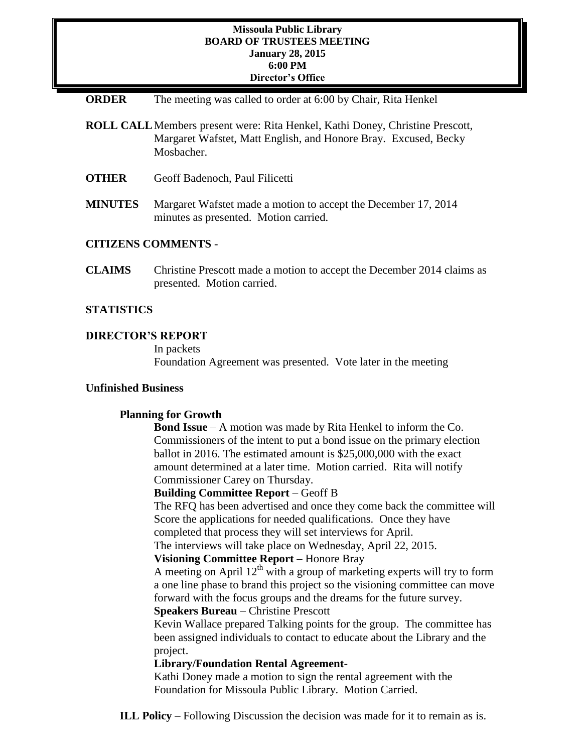#### **Missoula Public Library BOARD OF TRUSTEES MEETING January 28, 2015 6:00 PM Director's Office**

- **ORDER** The meeting was called to order at 6:00 by Chair, Rita Henkel
- **ROLL CALL**Members present were: Rita Henkel, Kathi Doney, Christine Prescott, Margaret Wafstet, Matt English, and Honore Bray. Excused, Becky Mosbacher.
- **OTHER** Geoff Badenoch, Paul Filicetti
- **MINUTES** Margaret Wafstet made a motion to accept the December 17, 2014 minutes as presented. Motion carried.

### **CITIZENS COMMENTS** -

**CLAIMS** Christine Prescott made a motion to accept the December 2014 claims as presented. Motion carried.

### **STATISTICS**

## **DIRECTOR'S REPORT**

In packets Foundation Agreement was presented. Vote later in the meeting

#### **Unfinished Business**

#### **Planning for Growth**

**Bond Issue** – A motion was made by Rita Henkel to inform the Co. Commissioners of the intent to put a bond issue on the primary election ballot in 2016. The estimated amount is \$25,000,000 with the exact amount determined at a later time. Motion carried. Rita will notify Commissioner Carey on Thursday.

#### **Building Committee Report** – Geoff B

The RFQ has been advertised and once they come back the committee will Score the applications for needed qualifications. Once they have completed that process they will set interviews for April.

The interviews will take place on Wednesday, April 22, 2015.

## **Visioning Committee Report –** Honore Bray

A meeting on April  $12<sup>th</sup>$  with a group of marketing experts will try to form a one line phase to brand this project so the visioning committee can move forward with the focus groups and the dreams for the future survey. **Speakers Bureau** – Christine Prescott

Kevin Wallace prepared Talking points for the group. The committee has been assigned individuals to contact to educate about the Library and the project.

## **Library/Foundation Rental Agreement**-

Kathi Doney made a motion to sign the rental agreement with the Foundation for Missoula Public Library. Motion Carried.

**ILL Policy** – Following Discussion the decision was made for it to remain as is.